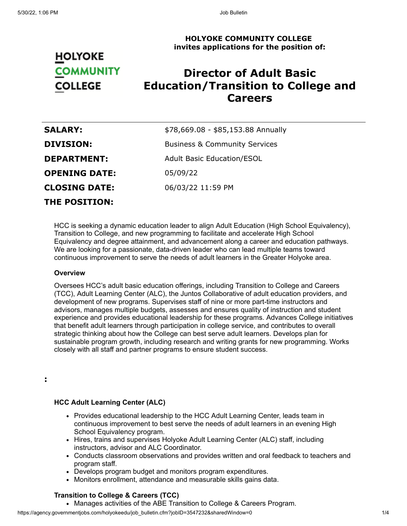## **HOLYOKE COMMUNITY COLLEGE invites applications for the position of:**

# **HOLYOKE COMMUNITY COLLEGE**

## **Director of Adult Basic Education/Transition to College and Careers**

| <b>SALARY:</b>       | \$78,669.08 - \$85,153.88 Annually       |
|----------------------|------------------------------------------|
| <b>DIVISION:</b>     | <b>Business &amp; Community Services</b> |
| <b>DEPARTMENT:</b>   | <b>Adult Basic Education/ESOL</b>        |
| <b>OPENING DATE:</b> | 05/09/22                                 |
| <b>CLOSING DATE:</b> | 06/03/22 11:59 PM                        |
| THE POSITION:        |                                          |

HCC is seeking a dynamic education leader to align Adult Education (High School Equivalency), Transition to College, and new programming to facilitate and accelerate High School Equivalency and degree attainment, and advancement along a career and education pathways. We are looking for a passionate, data-driven leader who can lead multiple teams toward continuous improvement to serve the needs of adult learners in the Greater Holyoke area.

## **Overview**

Oversees HCC's adult basic education offerings, including Transition to College and Careers (TCC), Adult Learning Center (ALC), the Juntos Collaborative of adult education providers, and development of new programs. Supervises staff of nine or more part-time instructors and advisors, manages multiple budgets, assesses and ensures quality of instruction and student experience and provides educational leadership for these programs. Advances College initiatives that benefit adult learners through participation in college service, and contributes to overall strategic thinking about how the College can best serve adult learners. Develops plan for sustainable program growth, including research and writing grants for new programming. Works closely with all staff and partner programs to ensure student success.

**:**

## **HCC Adult Learning Center (ALC)**

- Provides educational leadership to the HCC Adult Learning Center, leads team in continuous improvement to best serve the needs of adult learners in an evening High School Equivalency program.
- Hires, trains and supervises Holyoke Adult Learning Center (ALC) staff, including instructors, advisor and ALC Coordinator.
- Conducts classroom observations and provides written and oral feedback to teachers and program staff.
- Develops program budget and monitors program expenditures.
- Monitors enrollment, attendance and measurable skills gains data.

## **Transition to College & Careers (TCC)**

Manages activities of the ABE Transition to College & Careers Program.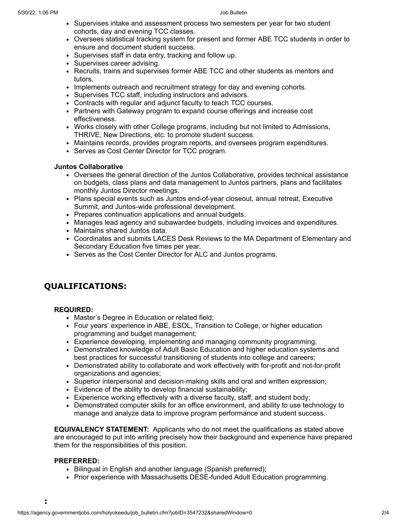- Supervises intake and assessment process two semesters per year for two student cohorts, day and evening TCC classes.
- Oversees statistical tracking system for present and former ABE TCC students in order to ensure and document student success.
- Supervises staff in data entry, tracking and follow up.
- Supervises career advising.
- Recruits, trains and supervises former ABE TCC and other students as mentors and tutors.
- Implements outreach and recruitment strategy for day and evening cohorts.
- Supervises TCC staff, including instructors and advisors.
- Contracts with regular and adjunct faculty to teach TCC courses.
- Partners with Gateway program to expand course offerings and increase cost effectiveness.
- Works closely with other College programs, including but not limited to Admissions, THRIVE, New Directions, etc. to promote student success.
- Maintains records, provides program reports, and oversees program expenditures.
- Serves as Cost Center Director for TCC program.

## **Juntos Collaborative**

- Oversees the general direction of the Juntos Collaborative, provides technical assistance on budgets, class plans and data management to Juntos partners, plans and facilitates monthly Juntos Director meetings.
- Plans special events such as Juntos end-of-year closeout, annual retreat, Executive Summit, and Juntos-wide professional development.
- Prepares continuation applications and annual budgets.
- Manages lead agency and subawardee budgets, including invoices and expenditures.
- Maintains shared Juntos data.
- Coordinates and submits LACES Desk Reviews to the MA Department of Elementary and Secondary Education five times per year.
- Serves as the Cost Center Director for ALC and Juntos programs.

## **QUALIFICATIONS:**

## **REQUIRED:**

- Master's Degree in Education or related field;
- Four years' experience in ABE, ESOL, Transition to College, or higher education programming and budget management;
- Experience developing, implementing and managing community programming;
- Demonstrated knowledge of Adult Basic Education and higher education systems and best practices for successful transitioning of students into college and careers;
- Demonstrated ability to collaborate and work effectively with for-profit and not-for-profit organizations and agencies;
- Superior interpersonal and decision-making skills and oral and written expression;
- Evidence of the ability to develop financial sustainability;
- Experience working effectively with a diverse faculty, staff, and student body;
- Demonstrated computer skills for an office environment, and ability to use technology to manage and analyze data to improve program performance and student success.

**EQUIVALENCY STATEMENT:** Applicants who do not meet the qualifications as stated above are encouraged to put into writing precisely how their background and experience have prepared them for the responsibilities of this position.

## **PREFERRED:**

**:**

- Bilingual in English and another language (Spanish preferred);
- Prior experience with Massachusetts DESE-funded Adult Education programming.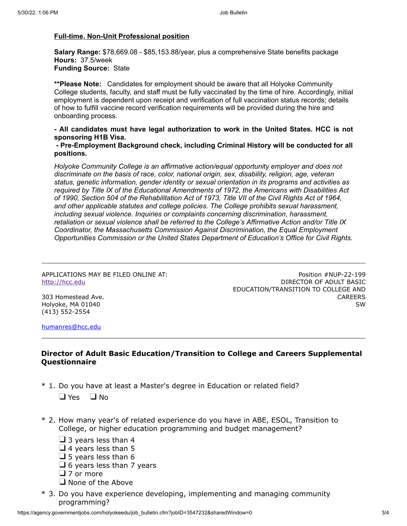## **Full-time, Non-Unit Professional position**

**Salary Range:** \$78,669.08 - \$85,153.88/year, plus a comprehensive State benefits package **Hours:** 37.5/week **Funding Source:** State

**\*\*Please Note:** Candidates for employment should be aware that all Holyoke Community College students, faculty, and staff must be fully vaccinated by the time of hire. Accordingly, initial employment is dependent upon receipt and verification of full vaccination status records; details of how to fulfill vaccine record verification requirements will be provided during the hire and onboarding process.

## **- All candidates must have legal authorization to work in the United States. HCC is not sponsoring H1B Visa.**

#### **- Pre-Employment Background check, including Criminal History will be conducted for all positions.**

*Holyoke Community College is an affirmative action/equal opportunity employer and does not discriminate on the basis of race, color, national origin, sex, disability, religion, age, veteran status, genetic information, gender identity or sexual orientation in its programs and activities as required by Title IX of the Educational Amendments of 1972, the Americans with Disabilities Act of 1990, Section 504 of the Rehabilitation Act of 1973, Title VII of the Civil Rights Act of 1964, and other applicable statutes and college policies. The College prohibits sexual harassment, including sexual violence. Inquiries or complaints concerning discrimination, harassment, retaliation or sexual violence shall be referred to the College's Affirmative Action and/or Title IX Coordinator, the Massachusetts Commission Against Discrimination, the Equal Employment Opportunities Commission or the United States Department of Education's Office for Civil Rights.*

APPLICATIONS MAY BE FILED ONLINE AT: [http://hcc.edu](http://hcc.edu/)

Position #NUP-22-199 DIRECTOR OF ADULT BASIC EDUCATION/TRANSITION TO COLLEGE AND CAREERS SW

303 Homestead Ave. Holyoke, MA 01040 (413) 552-2554

[humanres@hcc.edu](mailto:humanres@hcc.edu)

## **Director of Adult Basic Education/Transition to College and Careers Supplemental Questionnaire**

- \* 1. Do you have at least a Master's degree in Education or related field?
	- $\Box$  Yes  $\Box$  No.
- \* 2. How many year's of related experience do you have in ABE, ESOL, Transition to College, or higher education programming and budget management?
	- $\Box$  3 years less than 4
	- $\Box$  4 years less than 5
	- $\Box$  5 years less than 6
	- $\Box$  6 years less than 7 years
	- $\Box$  7 or more
	- $\Box$  None of the Above
- \* 3. Do you have experience developing, implementing and managing community programming?